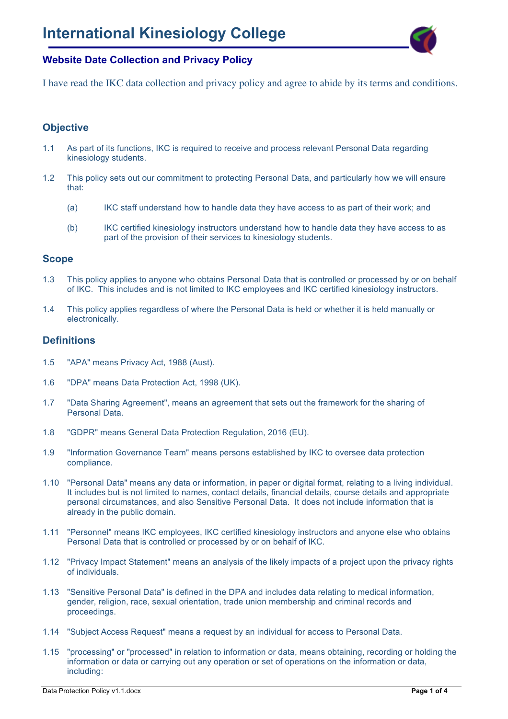

I have read the IKC data collection and privacy policy and agree to abide by its terms and conditions.

### **Objective**

- 1.1 As part of its functions, IKC is required to receive and process relevant Personal Data regarding kinesiology students.
- 1.2 This policy sets out our commitment to protecting Personal Data, and particularly how we will ensure that:
	- (a) IKC staff understand how to handle data they have access to as part of their work; and
	- (b) IKC certified kinesiology instructors understand how to handle data they have access to as part of the provision of their services to kinesiology students.

#### **Scope**

- 1.3 This policy applies to anyone who obtains Personal Data that is controlled or processed by or on behalf of IKC. This includes and is not limited to IKC employees and IKC certified kinesiology instructors.
- 1.4 This policy applies regardless of where the Personal Data is held or whether it is held manually or electronically.

#### **Definitions**

- 1.5 "APA" means Privacy Act, 1988 (Aust).
- 1.6 "DPA" means Data Protection Act, 1998 (UK).
- 1.7 "Data Sharing Agreement", means an agreement that sets out the framework for the sharing of Personal Data.
- 1.8 "GDPR" means General Data Protection Regulation, 2016 (EU).
- 1.9 "Information Governance Team" means persons established by IKC to oversee data protection compliance.
- 1.10 "Personal Data" means any data or information, in paper or digital format, relating to a living individual. It includes but is not limited to names, contact details, financial details, course details and appropriate personal circumstances, and also Sensitive Personal Data. It does not include information that is already in the public domain.
- 1.11 "Personnel" means IKC employees, IKC certified kinesiology instructors and anyone else who obtains Personal Data that is controlled or processed by or on behalf of IKC.
- 1.12 "Privacy Impact Statement" means an analysis of the likely impacts of a project upon the privacy rights of individuals.
- 1.13 "Sensitive Personal Data" is defined in the DPA and includes data relating to medical information, gender, religion, race, sexual orientation, trade union membership and criminal records and proceedings.
- 1.14 "Subject Access Request" means a request by an individual for access to Personal Data.
- 1.15 "processing" or "processed" in relation to information or data, means obtaining, recording or holding the information or data or carrying out any operation or set of operations on the information or data, including: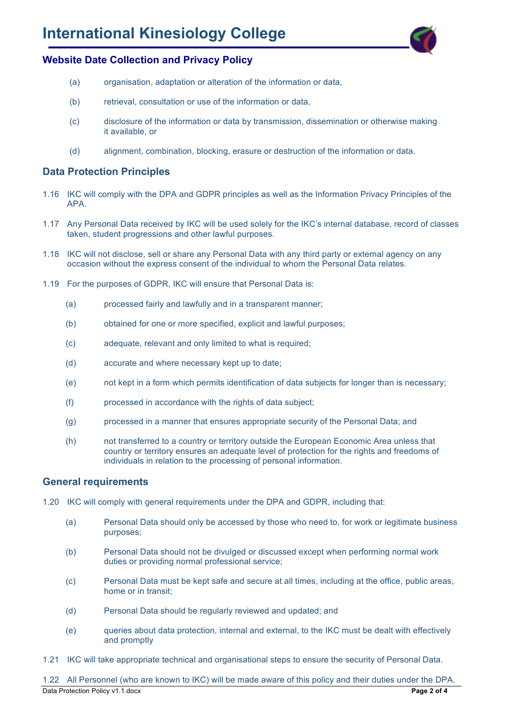

- (a) organisation, adaptation or alteration of the information or data,
- (b) retrieval, consultation or use of the information or data,
- (c) disclosure of the information or data by transmission, dissemination or otherwise making it available, or
- (d) alignment, combination, blocking, erasure or destruction of the information or data.

#### **Data Protection Principles**

- 1.16 IKC will comply with the DPA and GDPR principles as well as the Information Privacy Principles of the APA.
- 1.17 Any Personal Data received by IKC will be used solely for the IKC's internal database, record of classes taken, student progressions and other lawful purposes.
- 1.18 IKC will not disclose, sell or share any Personal Data with any third party or external agency on any occasion without the express consent of the individual to whom the Personal Data relates.
- 1.19 For the purposes of GDPR, IKC will ensure that Personal Data is:
	- (a) processed fairly and lawfully and in a transparent manner;
	- (b) obtained for one or more specified, explicit and lawful purposes;
	- (c) adequate, relevant and only limited to what is required;
	- (d) accurate and where necessary kept up to date;
	- (e) not kept in a form which permits identification of data subjects for longer than is necessary;
	- (f) processed in accordance with the rights of data subject;
	- (g) processed in a manner that ensures appropriate security of the Personal Data; and
	- (h) not transferred to a country or territory outside the European Economic Area unless that country or territory ensures an adequate level of protection for the rights and freedoms of individuals in relation to the processing of personal information.

#### **General requirements**

- 1.20 IKC will comply with general requirements under the DPA and GDPR, including that:
	- (a) Personal Data should only be accessed by those who need to, for work or legitimate business purposes;
	- (b) Personal Data should not be divulged or discussed except when performing normal work duties or providing normal professional service;
	- (c) Personal Data must be kept safe and secure at all times, including at the office, public areas, home or in transit;
	- (d) Personal Data should be regularly reviewed and updated; and
	- (e) queries about data protection, internal and external, to the IKC must be dealt with effectively and promptly
- 1.21 IKC will take appropriate technical and organisational steps to ensure the security of Personal Data.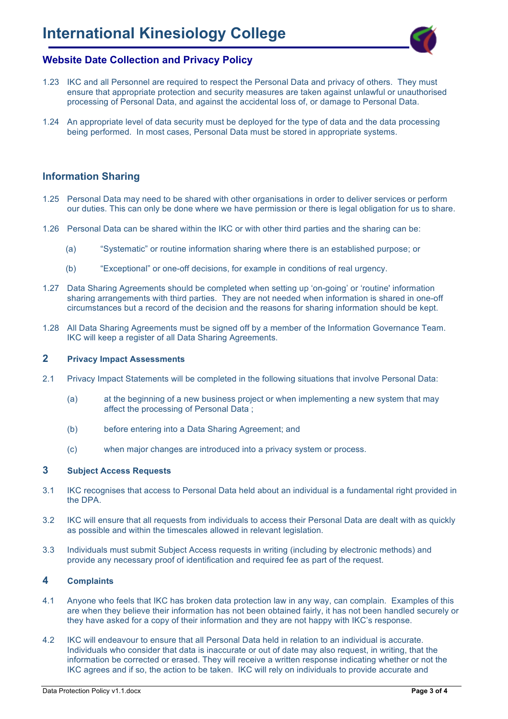

- 1.23 IKC and all Personnel are required to respect the Personal Data and privacy of others. They must ensure that appropriate protection and security measures are taken against unlawful or unauthorised processing of Personal Data, and against the accidental loss of, or damage to Personal Data.
- 1.24 An appropriate level of data security must be deployed for the type of data and the data processing being performed. In most cases, Personal Data must be stored in appropriate systems.

### **Information Sharing**

- 1.25 Personal Data may need to be shared with other organisations in order to deliver services or perform our duties. This can only be done where we have permission or there is legal obligation for us to share.
- 1.26 Personal Data can be shared within the IKC or with other third parties and the sharing can be:
	- (a) "Systematic" or routine information sharing where there is an established purpose; or
	- (b) "Exceptional" or one-off decisions, for example in conditions of real urgency.
- 1.27 Data Sharing Agreements should be completed when setting up 'on-going' or 'routine' information sharing arrangements with third parties. They are not needed when information is shared in one-off circumstances but a record of the decision and the reasons for sharing information should be kept.
- 1.28 All Data Sharing Agreements must be signed off by a member of the Information Governance Team. IKC will keep a register of all Data Sharing Agreements.

#### **2 Privacy Impact Assessments**

- 2.1 Privacy Impact Statements will be completed in the following situations that involve Personal Data:
	- (a) at the beginning of a new business project or when implementing a new system that may affect the processing of Personal Data ;
	- (b) before entering into a Data Sharing Agreement; and
	- (c) when major changes are introduced into a privacy system or process.

#### **3 Subject Access Requests**

- 3.1 IKC recognises that access to Personal Data held about an individual is a fundamental right provided in the DPA.
- 3.2 IKC will ensure that all requests from individuals to access their Personal Data are dealt with as quickly as possible and within the timescales allowed in relevant legislation.
- 3.3 Individuals must submit Subject Access requests in writing (including by electronic methods) and provide any necessary proof of identification and required fee as part of the request.

#### **4 Complaints**

- 4.1 Anyone who feels that IKC has broken data protection law in any way, can complain. Examples of this are when they believe their information has not been obtained fairly, it has not been handled securely or they have asked for a copy of their information and they are not happy with IKC's response.
- 4.2 IKC will endeavour to ensure that all Personal Data held in relation to an individual is accurate. Individuals who consider that data is inaccurate or out of date may also request, in writing, that the information be corrected or erased. They will receive a written response indicating whether or not the IKC agrees and if so, the action to be taken. IKC will rely on individuals to provide accurate and